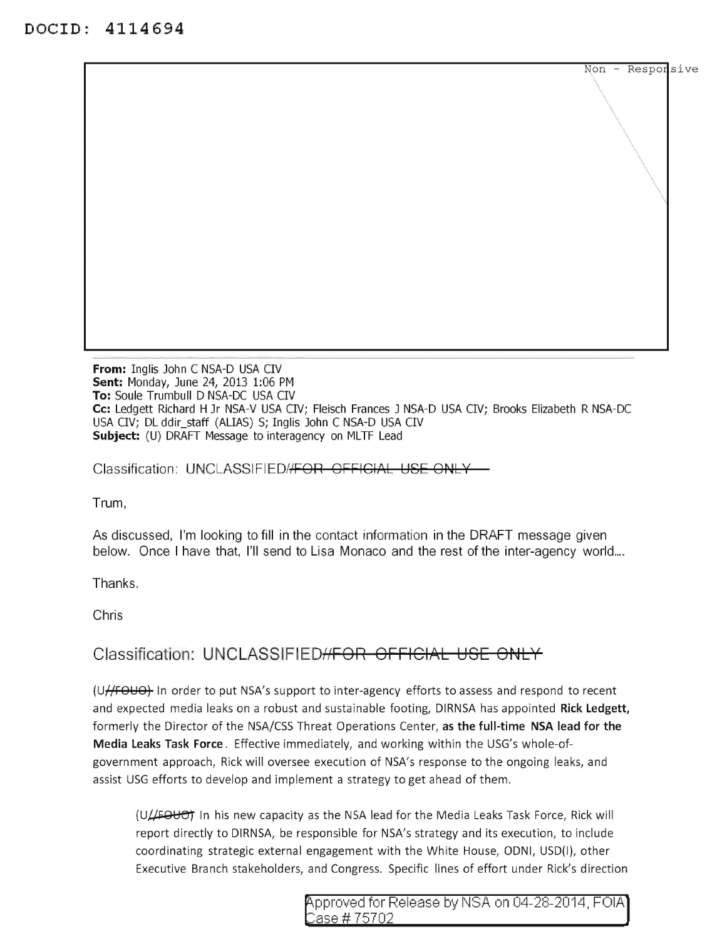------------ From: Inglis John C NSA-D USA CIV Sent: Monday, June 24, 2013 1:06 PM To: Soule Trumbull D NSA-DC USA CIV Cc: Ledgett Richard H Jr NSA-V USA CIV; Fleisch Frances J NSA-D USA CIV; Brooks Elizabeth R NSA-DC USA CIV; DL ddir\_staff (ALIAS) S; Inglis John C NSA-D USA CIV Subject: (U) DRAFT Message to interagency on MLTF Lead

Classification: UNCLASSIFIED//FOR OFFICIAL USE ONLY

Trum,

As discussed, I'm looking to fill in the contact information in the DRAFT message given below. Once I have that, I'll send to Lisa Monaco and the rest of the inter-agency world....

Thanks.

Chris

## Classification: UNCLASSIFIED<del>//FOR OFFICIAL USE ONLY</del>

(U//FOUO) In order to put NSA's support to inter-agency efforts to assess and respond to recent and expected media leaks on a robust and sustainable footing, DIRNSA has appointed Rick Ledgett, formerly the Director of the NSA/CSS Threat Operations Center, as the full-time NSA lead for the Media Leaks Task Force. Effective immediately, and working within the USG's whole-ofgovernment approach, Rick will oversee execution of NSA's response to the ongoing leaks, and assist USG efforts to develop and implement a strategy to get ahead of them.

 $(U/H$  automobig In his new capacity as the NSA lead for the Media Leaks Task Force, Rick will report directly to DIRNSA, be responsible for NSA's strategy and its execution, to include coordinating strategic external engagement with the White House, ODNI, USD(I), other Executive Branch stakeholders, and Congress. Specific lines of effort under Rick's direction

 $Non - Resporsive$ 

 $\mathcal{L}^{\mathcal{L}}$